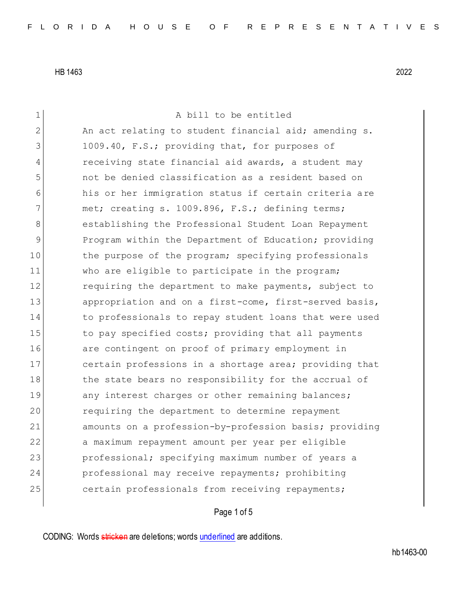| 1              | A bill to be entitled                                  |
|----------------|--------------------------------------------------------|
| $\overline{2}$ | An act relating to student financial aid; amending s.  |
| 3              | 1009.40, F.S.; providing that, for purposes of         |
| 4              | receiving state financial aid awards, a student may    |
| 5              | not be denied classification as a resident based on    |
| 6              | his or her immigration status if certain criteria are  |
| 7              | met; creating s. 1009.896, F.S.; defining terms;       |
| 8              | establishing the Professional Student Loan Repayment   |
| 9              | Program within the Department of Education; providing  |
| 10             | the purpose of the program; specifying professionals   |
| 11             | who are eligible to participate in the program;        |
| 12             | requiring the department to make payments, subject to  |
| 13             | appropriation and on a first-come, first-served basis, |
| 14             | to professionals to repay student loans that were used |
| 15             | to pay specified costs; providing that all payments    |
| 16             | are contingent on proof of primary employment in       |
| 17             | certain professions in a shortage area; providing that |
| 18             | the state bears no responsibility for the accrual of   |
| 19             | any interest charges or other remaining balances;      |
| 20             | requiring the department to determine repayment        |
| 21             | amounts on a profession-by-profession basis; providing |
| 22             | a maximum repayment amount per year per eligible       |
| 23             | professional; specifying maximum number of years a     |
| 24             | professional may receive repayments; prohibiting       |
| 25             | certain professionals from receiving repayments;       |
|                |                                                        |

## Page 1 of 5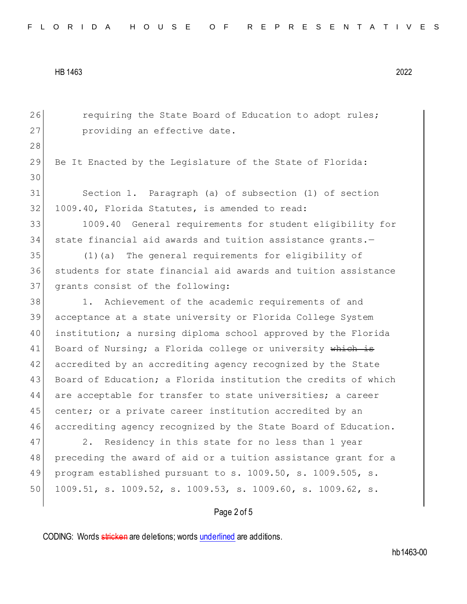26 requiring the State Board of Education to adopt rules; 27 providing an effective date. 28 29 Be It Enacted by the Legislature of the State of Florida: 30 31 Section 1. Paragraph (a) of subsection (1) of section 32 1009.40, Florida Statutes, is amended to read: 33 1009.40 General requirements for student eligibility for 34 state financial aid awards and tuition assistance grants.-35 (1)(a) The general requirements for eligibility of 36 students for state financial aid awards and tuition assistance 37 grants consist of the following: 38 1. Achievement of the academic requirements of and 39 acceptance at a state university or Florida College System 40 institution; a nursing diploma school approved by the Florida 41 Board of Nursing; a Florida college or university which is 42 accredited by an accrediting agency recognized by the State 43 Board of Education; a Florida institution the credits of which 44 are acceptable for transfer to state universities; a career 45 center; or a private career institution accredited by an 46 accrediting agency recognized by the State Board of Education. 47 2. Residency in this state for no less than 1 year 48 preceding the award of aid or a tuition assistance grant for a 49 program established pursuant to s. 1009.50, s. 1009.505, s. 50 1009.51, s. 1009.52, s. 1009.53, s. 1009.60, s. 1009.62, s.

Page 2 of 5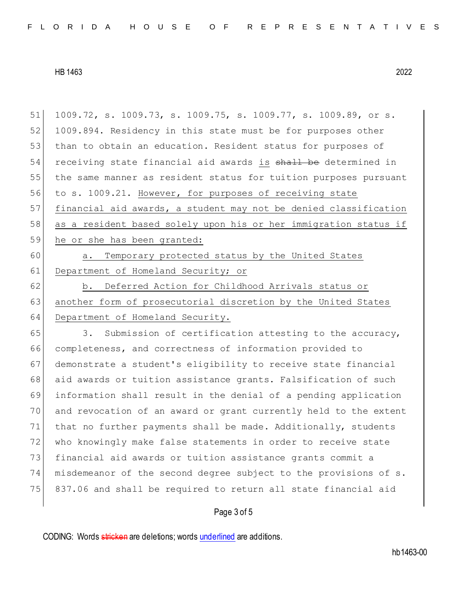51 1009.72, s. 1009.73, s. 1009.75, s. 1009.77, s. 1009.89, or s. 52 1009.894. Residency in this state must be for purposes other 53 than to obtain an education. Resident status for purposes of 54 receiving state financial aid awards is shall be determined in 55 the same manner as resident status for tuition purposes pursuant 56 to s. 1009.21. However, for purposes of receiving state 57 financial aid awards, a student may not be denied classification 58 as a resident based solely upon his or her immigration status if 59 he or she has been granted: 60 a. Temporary protected status by the United States 61 Department of Homeland Security; or 62 b. Deferred Action for Childhood Arrivals status or 63 another form of prosecutorial discretion by the United States 64 Department of Homeland Security. 65 3. Submission of certification attesting to the accuracy, 66 completeness, and correctness of information provided to 67 demonstrate a student's eligibility to receive state financial 68 aid awards or tuition assistance grants. Falsification of such 69 information shall result in the denial of a pending application 70 and revocation of an award or grant currently held to the extent 71 that no further payments shall be made. Additionally, students 72 who knowingly make false statements in order to receive state 73 financial aid awards or tuition assistance grants commit a 74 misdemeanor of the second degree subject to the provisions of s. 75 837.06 and shall be required to return all state financial aid

## Page 3 of 5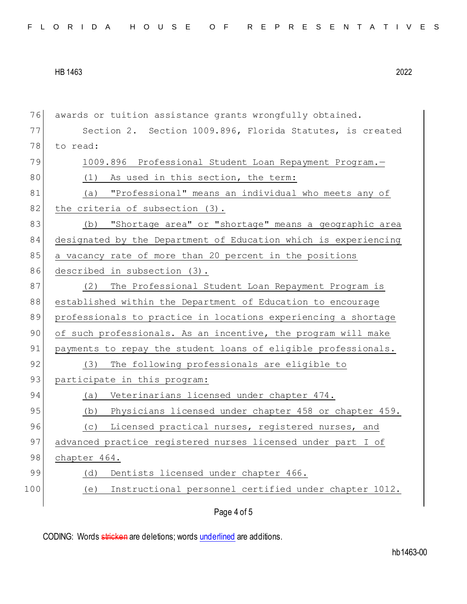| 76  | awards or tuition assistance grants wrongfully obtained.        |
|-----|-----------------------------------------------------------------|
| 77  | Section 2. Section 1009.896, Florida Statutes, is created       |
| 78  | to read:                                                        |
| 79  | 1009.896 Professional Student Loan Repayment Program.-          |
| 80  | As used in this section, the term:<br>(1)                       |
| 81  | (a) "Professional" means an individual who meets any of         |
| 82  | the criteria of subsection (3).                                 |
| 83  | "Shortage area" or "shortage" means a geographic area<br>(b)    |
| 84  | designated by the Department of Education which is experiencing |
| 85  | a vacancy rate of more than 20 percent in the positions         |
| 86  | described in subsection (3).                                    |
| 87  | (2) The Professional Student Loan Repayment Program is          |
| 88  | established within the Department of Education to encourage     |
| 89  | professionals to practice in locations experiencing a shortage  |
| 90  | of such professionals. As an incentive, the program will make   |
| 91  | payments to repay the student loans of eligible professionals.  |
| 92  | The following professionals are eligible to<br>(3)              |
| 93  | participate in this program:                                    |
| 94  | (a) Veterinarians licensed under chapter 474.                   |
| 95  | (b) Physicians licensed under chapter 458 or chapter 459.       |
| 96  | Licensed practical nurses, registered nurses, and<br>(C)        |
| 97  | advanced practice registered nurses licensed under part I of    |
| 98  | chapter 464.                                                    |
| 99  | Dentists licensed under chapter 466.<br>(d)                     |
| 100 | Instructional personnel certified under chapter 1012.<br>(e)    |
|     | Page 4 of 5                                                     |